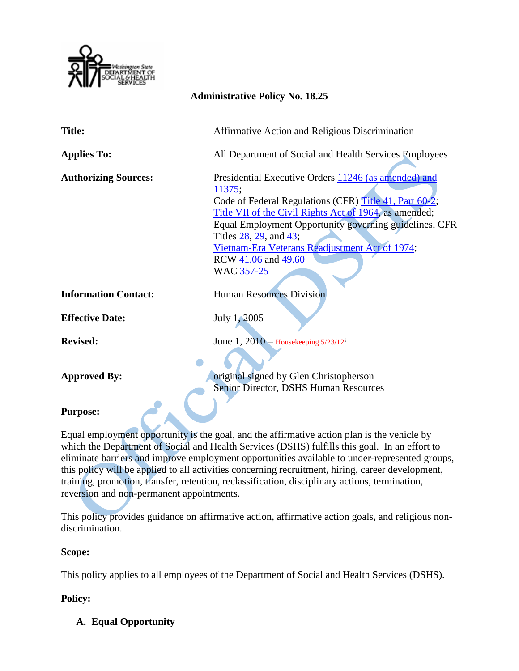

# **Administrative Policy No. 18.25**

| <b>Title:</b>               | Affirmative Action and Religious Discrimination                                                                                                                                                                                                                                                                                                               |
|-----------------------------|---------------------------------------------------------------------------------------------------------------------------------------------------------------------------------------------------------------------------------------------------------------------------------------------------------------------------------------------------------------|
| <b>Applies To:</b>          | All Department of Social and Health Services Employees                                                                                                                                                                                                                                                                                                        |
| <b>Authorizing Sources:</b> | Presidential Executive Orders 11246 (as amended) and<br>11375;<br>Code of Federal Regulations (CFR) Title 41, Part 60-2;<br>Title VII of the Civil Rights Act of 1964, as amended;<br>Equal Employment Opportunity governing guidelines, CFR<br>Titles 28, 29, and 43;<br>Vietnam-Era Veterans Readjustment Act of 1974;<br>RCW 41.06 and 49.60<br>WAC 357-25 |
| <b>Information Contact:</b> | <b>Human Resources Division</b>                                                                                                                                                                                                                                                                                                                               |
| <b>Effective Date:</b>      | July 1, 2005                                                                                                                                                                                                                                                                                                                                                  |
| <b>Revised:</b>             | June 1, $2010$ – Housekeeping $5/23/12^i$                                                                                                                                                                                                                                                                                                                     |
| <b>Approved By:</b>         | original signed by Glen Christopherson<br><b>Senior Director, DSHS Human Resources</b>                                                                                                                                                                                                                                                                        |

#### **Purpose:**

Equal employment opportunity is the goal, and the affirmative action plan is the vehicle by which the Department of Social and Health Services (DSHS) fulfills this goal. In an effort to eliminate barriers and improve employment opportunities available to under-represented groups, this policy will be applied to all activities concerning recruitment, hiring, career development, training, promotion, transfer, retention, reclassification, disciplinary actions, termination, reversion and non-permanent appointments.

This policy provides guidance on affirmative action, affirmative action goals, and religious nondiscrimination.

#### **Scope:**

This policy applies to all employees of the Department of Social and Health Services (DSHS).

## **Policy:**

**A. Equal Opportunity**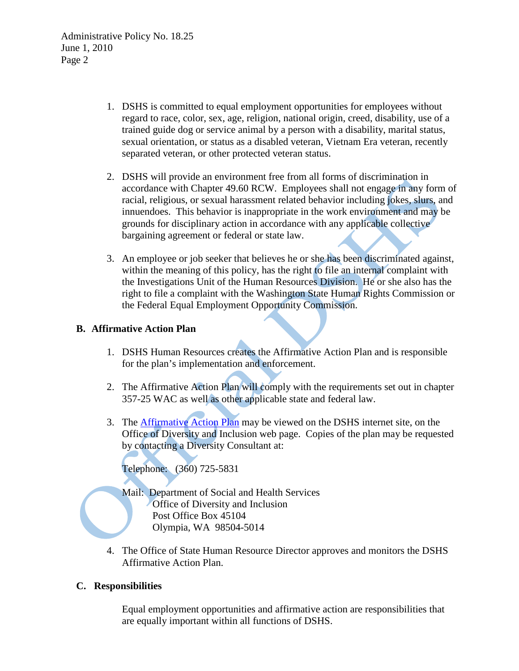Administrative Policy No. 18.25 June 1, 2010 Page 2

- 1. DSHS is committed to equal employment opportunities for employees without regard to race, color, sex, age, religion, national origin, creed, disability, use of a trained guide dog or service animal by a person with a disability, marital status, sexual orientation, or status as a disabled veteran, Vietnam Era veteran, recently separated veteran, or other protected veteran status.
- 2. DSHS will provide an environment free from all forms of discrimination in accordance with Chapter [49.60](http://apps.leg.wa.gov/RCW/default.aspx?cite=49.60) RCW. Employees shall not engage in any form of racial, religious, or sexual harassment related behavior including jokes, slurs, and innuendoes. This behavior is inappropriate in the work environment and may be grounds for disciplinary action in accordance with any applicable collective bargaining agreement or federal or state law.
- 3. An employee or job seeker that believes he or she has been discriminated against, within the meaning of this policy, has the right to file an internal complaint with the Investigations Unit of the Human Resources Division. He or she also has the right to file a complaint with the Washington State Human Rights Commission or the Federal Equal Employment Opportunity Commission.

### **B. Affirmative Action Plan**

- 1. DSHS Human Resources creates the Affirmative Action Plan and is responsible for the plan's implementation and enforcement.
- 2. The Affirmative Action Plan will comply with the requirements set out in chapter 357-25 WAC as well as other applicable state and federal law.
- 3. The [Affirmative Action Plan](http://dao.dshs.wa.lcl/aap.html) may be viewed on the DSHS internet site, on the Office of Diversity and Inclusion web page. Copies of the plan may be requested by contacting a Diversity Consultant at:

Telephone: (360) 725-5831

- Mail: Department of Social and Health Services
	- Office of Diversity and Inclusion
		- Post Office Box 45104
		- Olympia, WA 98504-5014
- 4. The Office of State Human Resource Director approves and monitors the DSHS Affirmative Action Plan.

## **C. Responsibilities**

Equal employment opportunities and affirmative action are responsibilities that are equally important within all functions of DSHS.